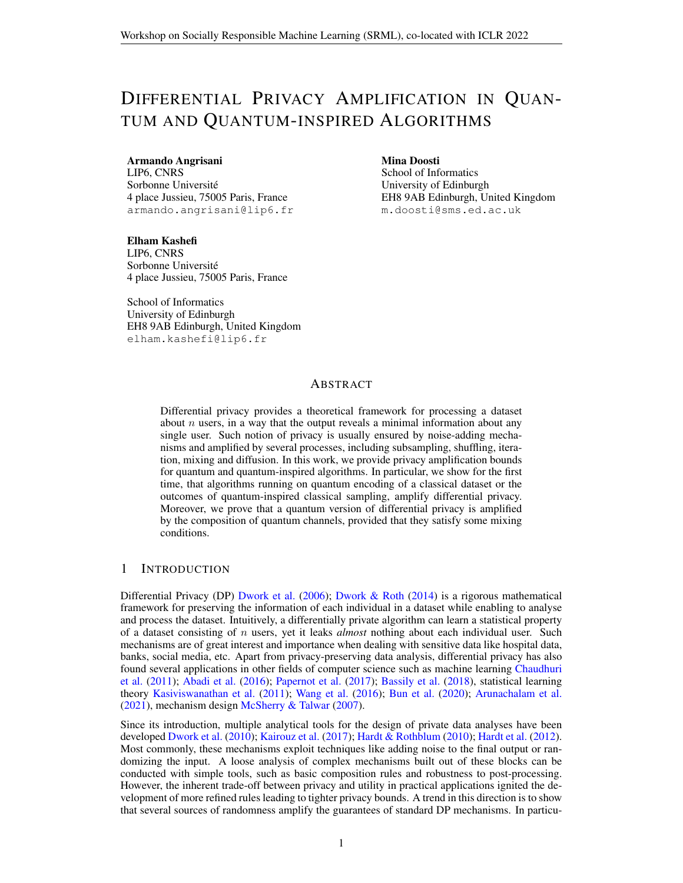# DIFFERENTIAL PRIVACY AMPLIFICATION IN QUAN-TUM AND QUANTUM-INSPIRED ALGORITHMS

#### Armando Angrisani

LIP6, CNRS Sorbonne Université 4 place Jussieu, 75005 Paris, France armando.angrisani@lip6.fr

Mina Doosti School of Informatics University of Edinburgh EH8 9AB Edinburgh, United Kingdom m.doosti@sms.ed.ac.uk

Elham Kashefi LIP6, CNRS Sorbonne Universite´ 4 place Jussieu, 75005 Paris, France

School of Informatics University of Edinburgh EH8 9AB Edinburgh, United Kingdom elham.kashefi@lip6.fr

### ABSTRACT

Differential privacy provides a theoretical framework for processing a dataset about  $n$  users, in a way that the output reveals a minimal information about any single user. Such notion of privacy is usually ensured by noise-adding mechanisms and amplified by several processes, including subsampling, shuffling, iteration, mixing and diffusion. In this work, we provide privacy amplification bounds for quantum and quantum-inspired algorithms. In particular, we show for the first time, that algorithms running on quantum encoding of a classical dataset or the outcomes of quantum-inspired classical sampling, amplify differential privacy. Moreover, we prove that a quantum version of differential privacy is amplified by the composition of quantum channels, provided that they satisfy some mixing conditions.

# 1 INTRODUCTION

Differential Privacy (DP) [Dwork et al.](#page-12-0) [\(2006\)](#page-12-0); [Dwork & Roth](#page-12-1) [\(2014\)](#page-12-1) is a rigorous mathematical framework for preserving the information of each individual in a dataset while enabling to analyse and process the dataset. Intuitively, a differentially private algorithm can learn a statistical property of a dataset consisting of n users, yet it leaks *almost* nothing about each individual user. Such mechanisms are of great interest and importance when dealing with sensitive data like hospital data, banks, social media, etc. Apart from privacy-preserving data analysis, differential privacy has also found several applications in other fields of computer science such as machine learning [Chaudhuri](#page-11-0) [et al.](#page-11-0) [\(2011\)](#page-11-0); [Abadi et al.](#page-10-0) [\(2016\)](#page-10-0); [Papernot et al.](#page-13-0) [\(2017\)](#page-13-0); [Bassily et al.](#page-11-1) [\(2018\)](#page-11-1), statistical learning theory [Kasiviswanathan et al.](#page-12-2) [\(2011\)](#page-12-2); [Wang et al.](#page-14-0) [\(2016\)](#page-14-0); [Bun et al.](#page-11-2) [\(2020\)](#page-11-2); [Arunachalam et al.](#page-11-3) [\(2021\)](#page-11-3), mechanism design [McSherry & Talwar](#page-13-1) [\(2007\)](#page-13-1).

Since its introduction, multiple analytical tools for the design of private data analyses have been developed [Dwork et al.](#page-12-3) [\(2010\)](#page-12-3); [Kairouz et al.](#page-12-4) [\(2017\)](#page-12-4); [Hardt & Rothblum](#page-12-5) [\(2010\)](#page-12-5); [Hardt et al.](#page-12-6) [\(2012\)](#page-12-6). Most commonly, these mechanisms exploit techniques like adding noise to the final output or randomizing the input. A loose analysis of complex mechanisms built out of these blocks can be conducted with simple tools, such as basic composition rules and robustness to post-processing. However, the inherent trade-off between privacy and utility in practical applications ignited the development of more refined rules leading to tighter privacy bounds. A trend in this direction is to show that several sources of randomness amplify the guarantees of standard DP mechanisms. In particu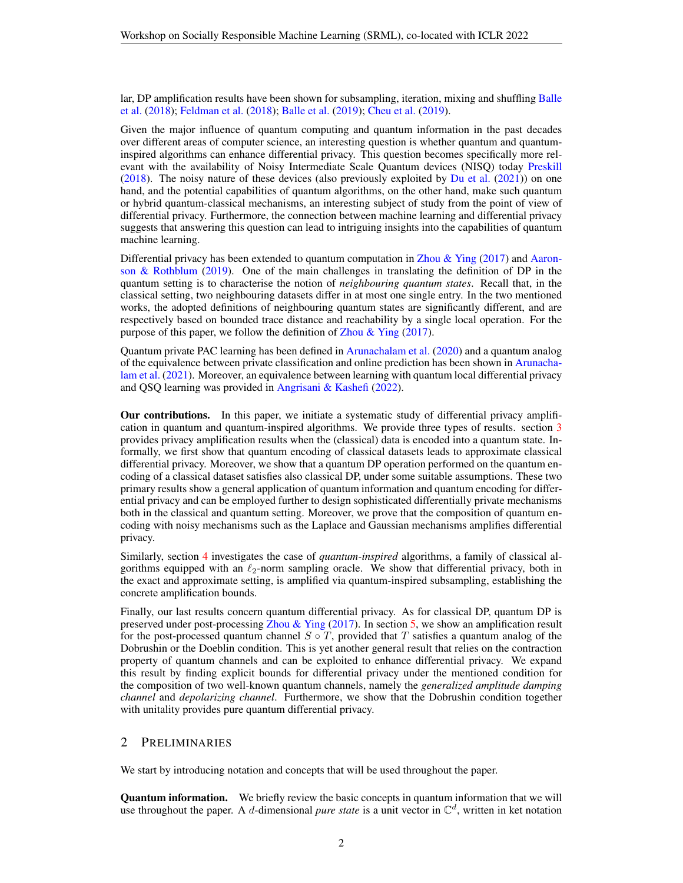lar, DP amplification results have been shown for subsampling, iteration, mixing and shuffling [Balle](#page-11-4) [et al.](#page-11-4) [\(2018\)](#page-11-4); [Feldman et al.](#page-12-7) [\(2018\)](#page-12-7); [Balle et al.](#page-11-5) [\(2019\)](#page-11-5); [Cheu et al.](#page-11-6) [\(2019\)](#page-11-6).

Given the major influence of quantum computing and quantum information in the past decades over different areas of computer science, an interesting question is whether quantum and quantuminspired algorithms can enhance differential privacy. This question becomes specifically more relevant with the availability of Noisy Intermediate Scale Quantum devices (NISQ) today [Preskill](#page-13-2) [\(2018\)](#page-13-2). The noisy nature of these devices (also previously exploited by [Du et al.](#page-12-8) [\(2021\)](#page-12-8)) on one hand, and the potential capabilities of quantum algorithms, on the other hand, make such quantum or hybrid quantum-classical mechanisms, an interesting subject of study from the point of view of differential privacy. Furthermore, the connection between machine learning and differential privacy suggests that answering this question can lead to intriguing insights into the capabilities of quantum machine learning.

Differential privacy has been extended to quantum computation in [Zhou & Ying](#page-14-1) [\(2017\)](#page-14-1) and [Aaron](#page-10-1)son  $\&$  Rothblum [\(2019\)](#page-10-1). One of the main challenges in translating the definition of DP in the quantum setting is to characterise the notion of *neighbouring quantum states*. Recall that, in the classical setting, two neighbouring datasets differ in at most one single entry. In the two mentioned works, the adopted definitions of neighbouring quantum states are significantly different, and are respectively based on bounded trace distance and reachability by a single local operation. For the purpose of this paper, we follow the definition of Zhou  $\&$  Ying [\(2017\)](#page-14-1).

Quantum private PAC learning has been defined in [Arunachalam et al.](#page-10-2) [\(2020\)](#page-10-2) and a quantum analog of the equivalence between private classification and online prediction has been shown in [Arunacha](#page-11-3)[lam et al.](#page-11-3) [\(2021\)](#page-11-3). Moreover, an equivalence between learning with quantum local differential privacy and QSQ learning was provided in [Angrisani & Kashefi](#page-10-3) [\(2022\)](#page-10-3).

Our contributions. In this paper, we initiate a systematic study of differential privacy amplification in quantum and quantum-inspired algorithms. We provide three types of results. section [3](#page-3-0) provides privacy amplification results when the (classical) data is encoded into a quantum state. Informally, we first show that quantum encoding of classical datasets leads to approximate classical differential privacy. Moreover, we show that a quantum DP operation performed on the quantum encoding of a classical dataset satisfies also classical DP, under some suitable assumptions. These two primary results show a general application of quantum information and quantum encoding for differential privacy and can be employed further to design sophisticated differentially private mechanisms both in the classical and quantum setting. Moreover, we prove that the composition of quantum encoding with noisy mechanisms such as the Laplace and Gaussian mechanisms amplifies differential privacy.

Similarly, section [4](#page-6-0) investigates the case of *quantum-inspired* algorithms, a family of classical algorithms equipped with an  $\ell_2$ -norm sampling oracle. We show that differential privacy, both in the exact and approximate setting, is amplified via quantum-inspired subsampling, establishing the concrete amplification bounds.

Finally, our last results concern quantum differential privacy. As for classical DP, quantum DP is preserved under post-processing [Zhou & Ying](#page-14-1) [\(2017\)](#page-14-1). In section [5,](#page-7-0) we show an amplification result for the post-processed quantum channel  $S \circ T$ , provided that T satisfies a quantum analog of the Dobrushin or the Doeblin condition. This is yet another general result that relies on the contraction property of quantum channels and can be exploited to enhance differential privacy. We expand this result by finding explicit bounds for differential privacy under the mentioned condition for the composition of two well-known quantum channels, namely the *generalized amplitude damping channel* and *depolarizing channel*. Furthermore, we show that the Dobrushin condition together with unitality provides pure quantum differential privacy.

## 2 PRELIMINARIES

We start by introducing notation and concepts that will be used throughout the paper.

**Quantum information.** We briefly review the basic concepts in quantum information that we will use throughout the paper. A d-dimensional *pure state* is a unit vector in  $\mathbb{C}^d$ , written in ket notation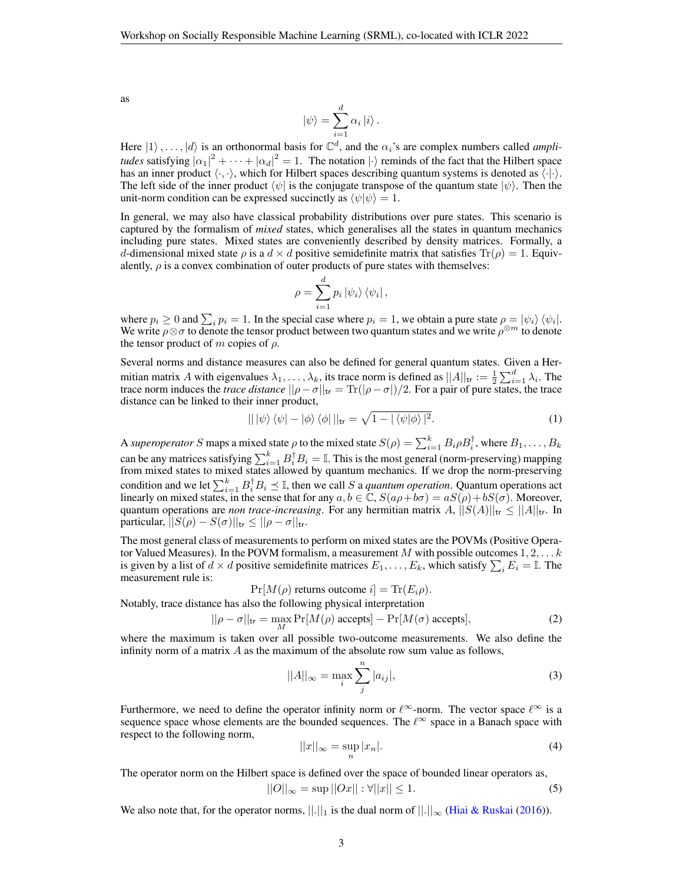as

$$
|\psi\rangle = \sum_{i=1}^{d} \alpha_i |i\rangle.
$$

Here  $|1\rangle$ ,...,  $|d\rangle$  is an orthonormal basis for  $\mathbb{C}^d$ , and the  $\alpha_i$ 's are complex numbers called *amplitudes* satisfying  $|\alpha_1|^2 + \cdots + |\alpha_d|^2 = 1$ . The notation  $|\cdot\rangle$  reminds of the fact that the Hilbert space has an inner product  $\langle \cdot, \cdot \rangle$ , which for Hilbert spaces describing quantum systems is denoted as  $\langle \cdot | \cdot \rangle$ . The left side of the inner product  $\langle \psi |$  is the conjugate transpose of the quantum state  $|\psi \rangle$ . Then the unit-norm condition can be expressed succinctly as  $\langle \psi | \psi \rangle = 1$ .

In general, we may also have classical probability distributions over pure states. This scenario is captured by the formalism of *mixed* states, which generalises all the states in quantum mechanics including pure states. Mixed states are conveniently described by density matrices. Formally, a d-dimensional mixed state  $\rho$  is a  $d \times d$  positive semidefinite matrix that satisfies  $\text{Tr}(\rho) = 1$ . Equivalently,  $\rho$  is a convex combination of outer products of pure states with themselves:

$$
\rho = \sum_{i=1}^{d} p_i \left| \psi_i \right\rangle \left\langle \psi_i \right|,
$$

where  $p_i \ge 0$  and  $\sum_i p_i = 1$ . In the special case where  $p_i = 1$ , we obtain a pure state  $\rho = |\psi_i\rangle \langle \psi_i|$ . We write  $\rho \otimes \sigma$  to denote the tensor product between two quantum states and we write  $\rho^{\otimes m}$  to denote the tensor product of m copies of  $\rho$ .

Several norms and distance measures can also be defined for general quantum states. Given a Hermitian matrix A with eigenvalues  $\lambda_1, \ldots, \lambda_k$ , its trace norm is defined as  $||A||_{tr} := \frac{1}{2} \sum_{i=1}^d \lambda_i$ . The trace norm induces the *trace distance*  $||\rho - \sigma||_{tr} = \text{Tr}(|\rho - \sigma|)/2$ . For a pair of pure states, the trace distance can be linked to their inner product,

<span id="page-2-0"></span>
$$
\| |\psi\rangle \langle \psi| - |\phi\rangle \langle \phi| \|_{\text{tr}} = \sqrt{1 - |\langle \psi | \phi \rangle|^2}.
$$
 (1)

A *superoperator* S maps a mixed state  $\rho$  to the mixed state  $S(\rho) = \sum_{i=1}^{k} B_i \rho B_i^{\dagger}$ , where  $B_1, \ldots, B_k$ can be any matrices satisfying  $\sum_{i=1}^k B_i^{\dagger} B_i = \mathbb{I}$ . This is the most general (norm-preserving) mapping from mixed states to mixed states allowed by quantum mechanics. If we drop the norm-preserving condition and we let  $\sum_{i=1}^{k} B_i^{\dagger} B_i \preceq \mathbb{I}$ , then we call S a *quantum operation*. Quantum operations act linearly on mixed states, in the sense that for any  $a, b \in \mathbb{C}$ ,  $S(a\rho + b\sigma) = aS(\rho) + bS(\sigma)$ . Moreover, quantum operations are *non trace-increasing*. For any hermitian matrix A,  $||S(A)||_{tr} \leq ||A||_{tr}$ . In particular,  $||S(\rho) - S(\sigma)||_{\text{tr}} \le ||\rho - \sigma||_{\text{tr}}$ .

The most general class of measurements to perform on mixed states are the POVMs (Positive Operator Valued Measures). In the POVM formalism, a measurement M with possible outcomes  $1, 2, \ldots k$ is given by a list of  $d \times d$  positive semidefinite matrices  $E_1, \ldots, E_k$ , which satisfy  $\sum_i E_i = \mathbb{I}$ . The measurement rule is:

$$
Pr[M(\rho) \text{ returns outcome } i] = Tr(E_i \rho).
$$

Notably, trace distance has also the following physical interpretation

<span id="page-2-1"></span>
$$
||\rho - \sigma||_{\text{tr}} = \max_{M} \Pr[M(\rho) \text{ accepts}] - \Pr[M(\sigma) \text{ accepts}],
$$
 (2)

where the maximum is taken over all possible two-outcome measurements. We also define the infinity norm of a matrix  $A$  as the maximum of the absolute row sum value as follows,

$$
||A||_{\infty} = \max_{i} \sum_{j}^{n} |a_{ij}|,
$$
\n(3)

Furthermore, we need to define the operator infinity norm or  $\ell^{\infty}$ -norm. The vector space  $\ell^{\infty}$  is a sequence space whose elements are the bounded sequences. The  $\ell^{\infty}$  space in a Banach space with respect to the following norm,

$$
||x||_{\infty} = \sup_{n} |x_n|.
$$
 (4)

The operator norm on the Hilbert space is defined over the space of bounded linear operators as,  $||O||_{\infty} = \sup ||Ox|| : \forall ||x|| \leq 1.$  (5)

We also note that, for the operator norms,  $||.||_1$  is the dual norm of  $||.||_{\infty}$  [\(Hiai & Ruskai](#page-12-9) [\(2016\)](#page-12-9)).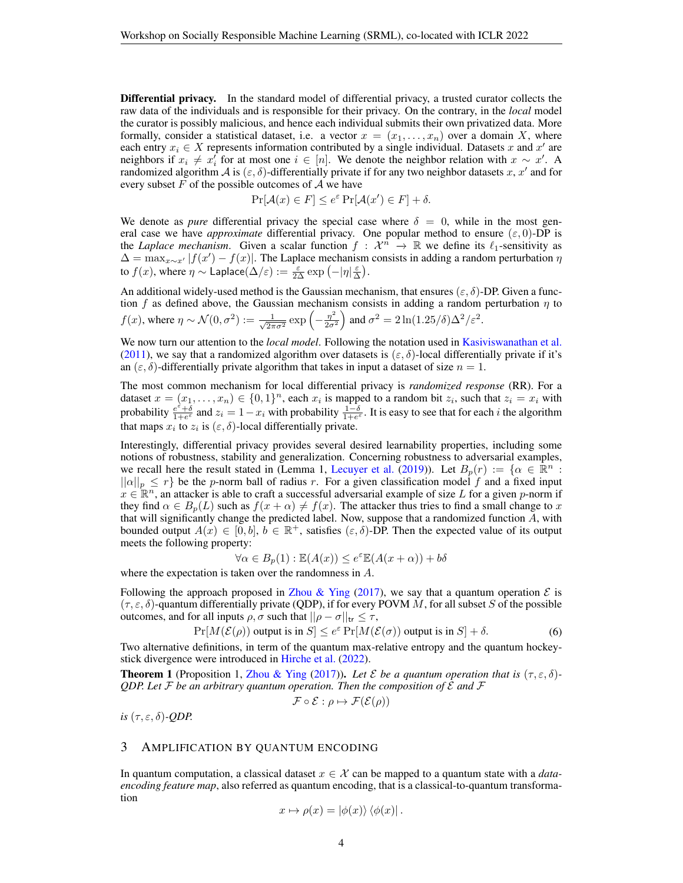Differential privacy. In the standard model of differential privacy, a trusted curator collects the raw data of the individuals and is responsible for their privacy. On the contrary, in the *local* model the curator is possibly malicious, and hence each individual submits their own privatized data. More formally, consider a statistical dataset, i.e. a vector  $x = (x_1, \ldots, x_n)$  over a domain X, where each entry  $x_i \in X$  represents information contributed by a single individual. Datasets x and  $x'$  are neighbors if  $x_i \neq x'_i$  for at most one  $i \in [n]$ . We denote the neighbor relation with  $x \sim x'$ . A randomized algorithm A is  $(\varepsilon, \delta)$ -differentially private if for any two neighbor datasets x, x' and for every subset  $F$  of the possible outcomes of  $A$  we have

$$
\Pr[\mathcal{A}(x) \in F] \le e^{\varepsilon} \Pr[\mathcal{A}(x') \in F] + \delta.
$$

We denote as *pure* differential privacy the special case where  $\delta = 0$ , while in the most general case we have *approximate* differential privacy. One popular method to ensure  $(\varepsilon, 0)$ -DP is the *Laplace mechanism*. Given a scalar function  $f : \mathcal{X}^n \to \mathbb{R}$  we define its  $\ell_1$ -sensitivity as  $\Delta = \max_{x \sim x'} |f(x') - f(x)|$ . The Laplace mechanism consists in adding a random perturbation  $\eta$ to  $f(x)$ , where  $\eta \sim \mathsf{Laplace}(\Delta/\varepsilon) := \frac{\varepsilon}{2\Delta} \exp\left(-|\eta| \frac{\varepsilon}{\Delta}\right)$ .

An additional widely-used method is the Gaussian mechanism, that ensures  $(\varepsilon, \delta)$ -DP. Given a function f as defined above, the Gaussian mechanism consists in adding a random perturbation  $\eta$  to  $f(x)$ , where  $\eta \sim \mathcal{N}(0, \sigma^2) := \frac{1}{\sqrt{2}}$  $rac{1}{2\pi\sigma^2}$  exp  $\left(-\frac{\eta^2}{2\sigma^2}\right)$  $\left(\frac{\eta^2}{2\sigma^2}\right)$  and  $\sigma^2 = 2\ln(1.25/\delta)\Delta^2/\varepsilon^2$ .

We now turn our attention to the *local model*. Following the notation used in [Kasiviswanathan et al.](#page-12-2) [\(2011\)](#page-12-2), we say that a randomized algorithm over datasets is  $(\varepsilon, \delta)$ -local differentially private if it's an  $(\varepsilon, \delta)$ -differentially private algorithm that takes in input a dataset of size  $n = 1$ .

The most common mechanism for local differential privacy is *randomized response* (RR). For a dataset  $x = (x_1, \ldots, x_n) \in \{0, 1\}^n$ , each  $x_i$  is mapped to a random bit  $z_i$ , such that  $z_i = x_i$  with probability  $\frac{e^{\epsilon}+\delta}{1+e^{\epsilon}}$  and  $z_i=1-x_i$  with probability  $\frac{1-\delta}{1+e^{\epsilon}}$ . It is easy to see that for each i the algorithm that maps  $x_i$  to  $z_i$  is  $(\varepsilon, \delta)$ -local differentially private.

Interestingly, differential privacy provides several desired learnability properties, including some notions of robustness, stability and generalization. Concerning robustness to adversarial examples, we recall here the result stated in (Lemma 1, [Lecuyer et al.](#page-13-3) [\(2019\)](#page-13-3)). Let  $B_p(r) := \{ \alpha \in \mathbb{R}^n :$  $||\alpha||_p \leq r$  be the p-norm ball of radius r. For a given classification model f and a fixed input  $x \in \mathbb{R}^n$ , an attacker is able to craft a successful adversarial example of size L for a given p-norm if they find  $\alpha \in B_p(L)$  such as  $f(x + \alpha) \neq f(x)$ . The attacker thus tries to find a small change to x that will significantly change the predicted label. Now, suppose that a randomized function  $A$ , with bounded output  $A(x) \in [0, b], b \in \mathbb{R}^+$ , satisfies  $(\varepsilon, \delta)$ -DP. Then the expected value of its output meets the following property:

$$
\forall \alpha \in B_p(1) : \mathbb{E}(A(x)) \le e^{\varepsilon} \mathbb{E}(A(x + \alpha)) + b\delta
$$

where the expectation is taken over the randomness in A.

Following the approach proposed in [Zhou & Ying](#page-14-1) [\(2017\)](#page-14-1), we say that a quantum operation  $\mathcal E$  is  $(\tau, \varepsilon, \delta)$ -quantum differentially private (QDP), if for every POVM M, for all subset S of the possible outcomes, and for all inputs  $\rho, \sigma$  such that  $||\rho - \sigma||_{tr} \leq \tau$ ,

$$
\Pr[M(\mathcal{E}(\rho)) \text{ output is in } S] \le e^{\varepsilon} \Pr[M(\mathcal{E}(\sigma)) \text{ output is in } S] + \delta. \tag{6}
$$

Two alternative definitions, in term of the quantum max-relative entropy and the quantum hockeystick divergence were introduced in [Hirche et al.](#page-12-10) [\(2022\)](#page-12-10).

<span id="page-3-1"></span>**Theorem 1** (Proposition 1, [Zhou & Ying](#page-14-1) [\(2017\)](#page-14-1)). Let  $\mathcal E$  be a quantum operation that is  $(\tau, \varepsilon, \delta)$ -*QDP. Let*  $\mathcal F$  *be an arbitrary quantum operation. Then the composition of*  $\mathcal E$  *and*  $\mathcal F$ 

$$
\mathcal{F} \circ \mathcal{E} : \rho \mapsto \mathcal{F}(\mathcal{E}(\rho))
$$

*is*  $(\tau, \varepsilon, \delta)$ *-QDP.* 

#### <span id="page-3-0"></span>3 AMPLIFICATION BY QUANTUM ENCODING

In quantum computation, a classical dataset  $x \in \mathcal{X}$  can be mapped to a quantum state with a *dataencoding feature map*, also referred as quantum encoding, that is a classical-to-quantum transformation

$$
x \mapsto \rho(x) = |\phi(x)\rangle \langle \phi(x)|.
$$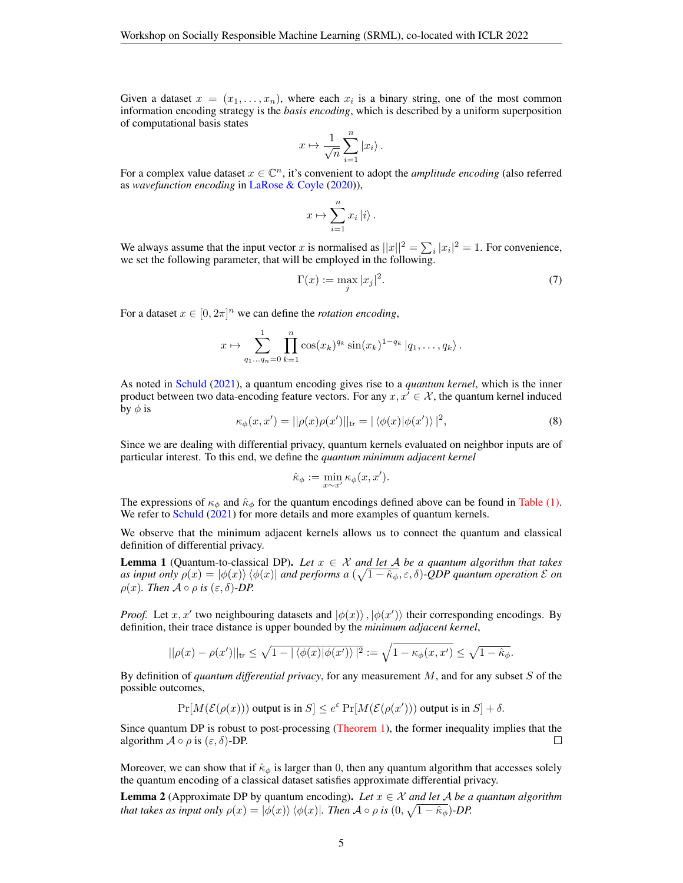Given a dataset  $x = (x_1, \ldots, x_n)$ , where each  $x_i$  is a binary string, one of the most common information encoding strategy is the *basis encoding*, which is described by a uniform superposition of computational basis states

$$
x \mapsto \frac{1}{\sqrt{n}} \sum_{i=1}^n |x_i\rangle.
$$

For a complex value dataset  $x \in \mathbb{C}^n$ , it's convenient to adopt the *amplitude encoding* (also referred as *wavefunction encoding* in [LaRose & Coyle](#page-13-4) [\(2020\)](#page-13-4)),

$$
x \mapsto \sum_{i=1}^{n} x_i \left| i \right\rangle.
$$

We always assume that the input vector x is normalised as  $||x||^2 = \sum_i |x_i|^2 = 1$ . For convenience, we set the following parameter, that will be employed in the following.

<span id="page-4-0"></span>
$$
\Gamma(x) := \max_{j} |x_j|^2. \tag{7}
$$

For a dataset  $x \in [0, 2\pi]^n$  we can define the *rotation encoding*,

$$
x \mapsto \sum_{q_1...q_n=0}^1 \prod_{k=1}^n \cos(x_k)^{q_k} \sin(x_k)^{1-q_k} |q_1,\ldots,q_k\rangle.
$$

As noted in [Schuld](#page-13-5) [\(2021\)](#page-13-5), a quantum encoding gives rise to a *quantum kernel*, which is the inner product between two data-encoding feature vectors. For any  $x, x' \in \mathcal{X}$ , the quantum kernel induced by  $\phi$  is

<span id="page-4-1"></span>
$$
\kappa_{\phi}(x, x') = ||\rho(x)\rho(x')||_{\text{tr}} = |\langle \phi(x)|\phi(x')\rangle|^2,
$$
\n(8)

Since we are dealing with differential privacy, quantum kernels evaluated on neighbor inputs are of particular interest. To this end, we define the *quantum minimum adjacent kernel*

$$
\hat{\kappa}_{\phi} := \min_{x \sim x'} \kappa_{\phi}(x, x').
$$

The expressions of  $\kappa_{\phi}$  and  $\hat{\kappa}_{\phi}$  for the quantum encodings defined above can be found in [Table \(1\).](#page-5-0) We refer to [Schuld](#page-13-5) [\(2021\)](#page-13-5) for more details and more examples of quantum kernels.

We observe that the minimum adjacent kernels allows us to connect the quantum and classical definition of differential privacy.

**Lemma 1** (Quantum-to-classical DP). Let  $x \in \mathcal{X}$  and let A be a quantum algorithm that takes *as input only*  $\rho(x) = |\phi(x)\rangle \langle \phi(x)|$  and performs a  $(\sqrt{1-\hat{\kappa}_{\phi}}, \varepsilon, \delta)$ -QDP quantum operation  $\mathcal E$  on  $\rho(x)$ *. Then*  $\mathcal{A} \circ \rho$  *is*  $(\varepsilon, \delta)$ *-DP.* 

*Proof.* Let x, x' two neighbouring datasets and  $|\phi(x)\rangle$ ,  $|\phi(x')\rangle$  their corresponding encodings. By definition, their trace distance is upper bounded by the *minimum adjacent kernel*,

$$
||\rho(x) - \rho(x')||_{\text{tr}} \le \sqrt{1 - |\langle \phi(x)|\phi(x')\rangle|^2} := \sqrt{1 - \kappa_{\phi}(x, x')} \le \sqrt{1 - \hat{\kappa}_{\phi}}.
$$

By definition of *quantum differential privacy*, for any measurement M, and for any subset S of the possible outcomes,

$$
\Pr[M(\mathcal{E}(\rho(x))) \text{ output is in } S] \le e^{\varepsilon} \Pr[M(\mathcal{E}(\rho(x'))) \text{ output is in } S] + \delta.
$$

Since quantum DP is robust to post-processing [\(Theorem](#page-3-1) [1\)](#page-3-1), the former inequality implies that the algorithm  $A \circ \rho$  is  $(\varepsilon, \delta)$ -DP. П

Moreover, we can show that if  $\hat{\kappa}_{\phi}$  is larger than 0, then any quantum algorithm that accesses solely the quantum encoding of a classical dataset satisfies approximate differential privacy.

**Lemma 2** (Approximate DP by quantum encoding). Let  $x \in \mathcal{X}$  and let A be a quantum algorithm *that takes as input only*  $\rho(x) = |\phi(x)\rangle \langle \phi(x)|$ *. Then*  $\mathcal{A} \circ \rho$  *is*  $(0, \sqrt{1 - \hat{\kappa}_{\phi}})$ *-DP.*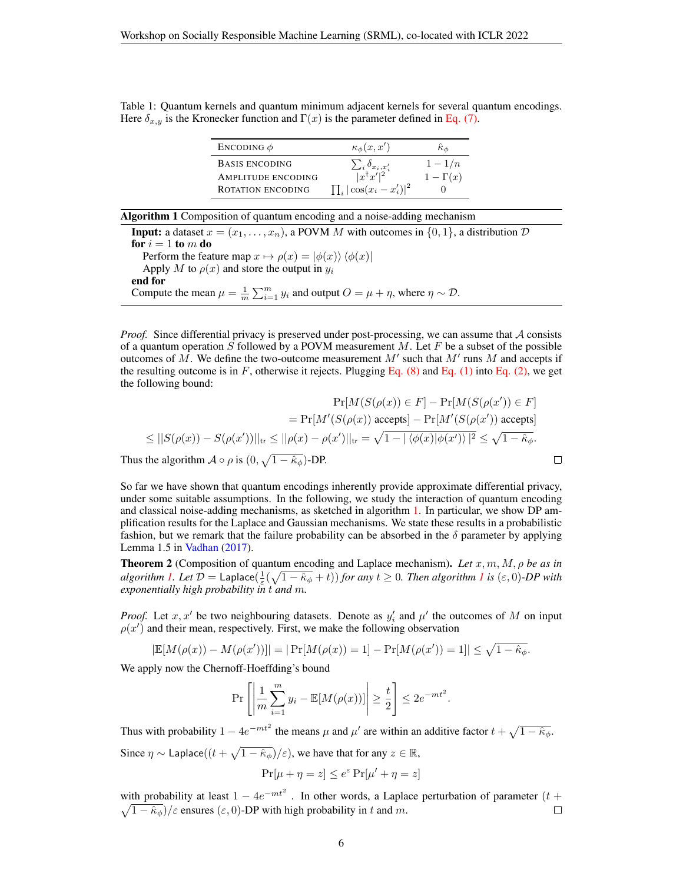<span id="page-5-0"></span>Table 1: Quantum kernels and quantum minimum adjacent kernels for several quantum encodings. Here  $\delta_{x,y}$  is the Kronecker function and  $\Gamma(x)$  is the parameter defined in [Eq. \(7\).](#page-4-0)

| ENCODING $\phi$           | $\kappa_{\phi}(x,x')$                               | $\ddot{\kappa}_A$ |
|---------------------------|-----------------------------------------------------|-------------------|
| <b>BASIS ENCODING</b>     | $\frac{\sum_i \delta_{x_i,x'_i}}{ x^\dagger x' ^2}$ | $1-1/n$           |
| <b>AMPLITUDE ENCODING</b> |                                                     | $1-\Gamma(x)$     |
| <b>ROTATION ENCODING</b>  | $\prod_i  \cos(x_i - x'_i) ^2$                      |                   |

<span id="page-5-1"></span>

| <b>Algorithm 1</b> Composition of quantum encoding and a noise-adding mechanism                                       |
|-----------------------------------------------------------------------------------------------------------------------|
| <b>Input:</b> a dataset $x = (x_1, \ldots, x_n)$ , a POVM M with outcomes in $\{0, 1\}$ , a distribution D            |
| for $i=1$ to m do                                                                                                     |
| Perform the feature map $x \mapsto \rho(x) =  \phi(x)\rangle \langle \phi(x) $                                        |
| Apply M to $\rho(x)$ and store the output in $y_i$                                                                    |
| end for                                                                                                               |
| Compute the mean $\mu = \frac{1}{m} \sum_{i=1}^{m} y_i$ and output $O = \mu + \eta$ , where $\eta \sim \mathcal{D}$ . |

*Proof.* Since differential privacy is preserved under post-processing, we can assume that A consists of a quantum operation S followed by a POVM measurement M. Let F be a subset of the possible outcomes of M. We define the two-outcome measurement  $M'$  such that  $M'$  runs M and accepts if the resulting outcome is in  $F$ , otherwise it rejects. Plugging [Eq. \(8\)](#page-4-1) and [Eq. \(1\)](#page-2-0) into [Eq. \(2\),](#page-2-1) we get the following bound:

$$
\Pr[M(S(\rho(x)) \in F] - \Pr[M(S(\rho(x')) \in F])
$$
\n
$$
\leq |S(\rho(x)) - S(\rho(x'))|_{\text{tr}} \leq ||\rho(x) - \rho(x')||_{\text{tr}} = \sqrt{1 - |\langle \phi(x)|\phi(x')\rangle|^2} \leq \sqrt{1 - \hat{\kappa}_{\phi}}.
$$
\nThus the algorithm  $A \circ \rho$  is  $(0, \sqrt{1 - \hat{\kappa}_{\phi}})$ -DP.

So far we have shown that quantum encodings inherently provide approximate differential privacy, under some suitable assumptions. In the following, we study the interaction of quantum encoding and classical noise-adding mechanisms, as sketched in algorithm [1.](#page-5-1) In particular, we show DP amplification results for the Laplace and Gaussian mechanisms. We state these results in a probabilistic fashion, but we remark that the failure probability can be absorbed in the  $\delta$  parameter by applying Lemma 1.5 in [Vadhan](#page-13-6) [\(2017\)](#page-13-6).

<span id="page-5-2"></span>**Theorem 2** (Composition of quantum encoding and Laplace mechanism). Let  $x, m, M, \rho$  be as in  $algorithms$  *[1.](#page-5-1)* Let  $D = \text{Laplace}(\frac{1}{\varepsilon}(\sqrt{1-\hat{\kappa}_{\phi}}+t))$  $D = \text{Laplace}(\frac{1}{\varepsilon}(\sqrt{1-\hat{\kappa}_{\phi}}+t))$  $D = \text{Laplace}(\frac{1}{\varepsilon}(\sqrt{1-\hat{\kappa}_{\phi}}+t))$  for any  $t \geq 0$ . Then algorithm 1 is  $(\varepsilon, 0)$ -DP with *exponentially high probability in* t *and* m*.*

*Proof.* Let  $x, x'$  be two neighbouring datasets. Denote as  $y'_i$  and  $\mu'$  the outcomes of M on input  $\rho(x')$  and their mean, respectively. First, we make the following observation

$$
|\mathbb{E}[M(\rho(x)) - M(\rho(x'))]| = |\Pr[M(\rho(x)) = 1] - \Pr[M(\rho(x')) = 1]| \le \sqrt{1 - \hat{\kappa}_{\phi}}.
$$

We apply now the Chernoff-Hoeffding's bound

$$
\Pr\left[\left|\frac{1}{m}\sum_{i=1}^m y_i - \mathbb{E}[M(\rho(x))] \right| \ge \frac{t}{2}\right] \le 2e^{-mt^2}.
$$

Thus with probability  $1 - 4e^{-mt^2}$  the means  $\mu$  and  $\mu'$  are within an additive factor  $t + \sqrt{1 - \hat{\kappa}_{\phi}}$ . Since  $\eta \sim$  Laplace $((t + \sqrt{1 - \hat{\kappa}_{\phi}})/\varepsilon)$ , we have that for any  $z \in \mathbb{R}$ ,

$$
\Pr[\mu + \eta = z] \le e^{\varepsilon} \Pr[\mu' + \eta = z]
$$

with probability at least  $1 - 4e^{-mt^2}$ . In other words, a Laplace perturbation of parameter  $(t +$  $\sqrt{1 - \hat{\kappa}_{\phi}}$ / $\varepsilon$  ensures  $(\varepsilon, 0)$ -DP with high probability in t and m.  $\Box$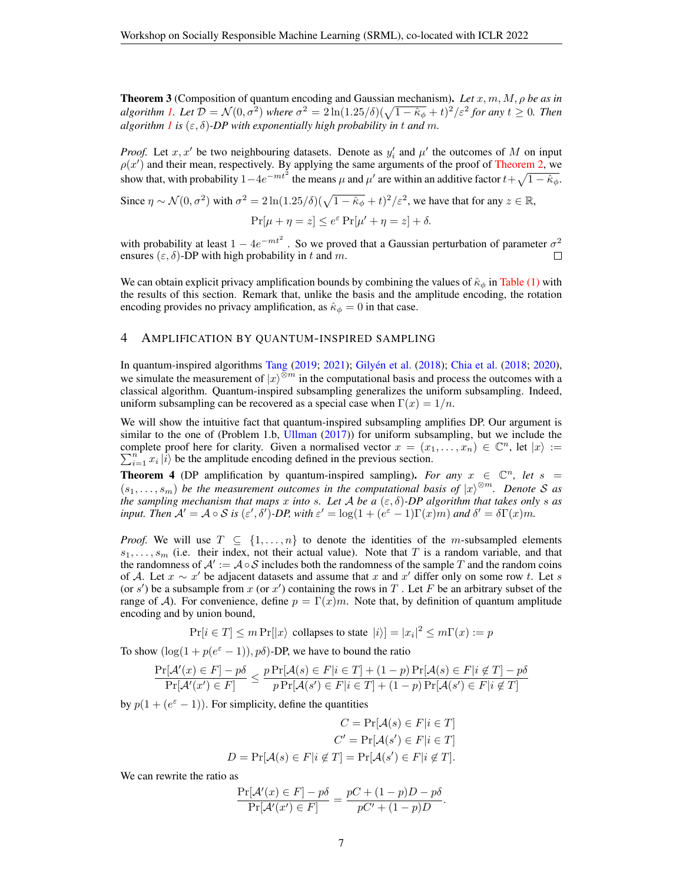Theorem 3 (Composition of quantum encoding and Gaussian mechanism). *Let* x, m, M, ρ *be as in algorithm [1.](#page-5-1) Let*  $\mathcal{D} = \mathcal{N}(0, \sigma^2)$  where  $\sigma^2 = 2 \ln(1.25/\delta)(\sqrt{1-\hat{\kappa}_{\phi}} + t)^2/\varepsilon^2$  for any  $t \ge 0$ . Then *algorithm l is*  $(\varepsilon, \delta)$ -*DP* with exponentially high probability in t and m.

*Proof.* Let  $x, x'$  be two neighbouring datasets. Denote as  $y'_i$  and  $\mu'$  the outcomes of M on input  $\rho(x')$  and their mean, respectively. By applying the same arguments of the proof of [Theorem](#page-5-2) [2,](#page-5-2) we show that, with probability  $1-4e^{-mt^2}$  the means  $\mu$  and  $\mu'$  are within an additive factor  $t+\sqrt{1-\hat{\kappa}_{\phi}}$ .

Since 
$$
\eta \sim \mathcal{N}(0, \sigma^2)
$$
 with  $\sigma^2 = 2 \ln(1.25/\delta)(\sqrt{1 - \hat{\kappa}_{\phi}} + t)^2/\varepsilon^2$ , we have that for any  $z \in \mathbb{R}$ ,  
\n
$$
\Pr[\mu + \eta = z] \le e^{\varepsilon} \Pr[\mu' + \eta = z] + \delta.
$$

with probability at least  $1 - 4e^{-mt^2}$ . So we proved that a Gaussian perturbation of parameter  $\sigma^2$ ensures  $(\varepsilon, \delta)$ -DP with high probability in t and m.

We can obtain explicit privacy amplification bounds by combining the values of  $\hat{\kappa}_{\phi}$  in [Table \(1\)](#page-5-0) with the results of this section. Remark that, unlike the basis and the amplitude encoding, the rotation encoding provides no privacy amplification, as  $\hat{\kappa}_{\phi} = 0$  in that case.

#### <span id="page-6-0"></span>4 AMPLIFICATION BY QUANTUM-INSPIRED SAMPLING

In quantum-inspired algorithms [Tang](#page-13-7) [\(2019;](#page-13-7) [2021\)](#page-13-8); Gilyén et al. [\(2018\)](#page-12-11); [Chia et al.](#page-11-7) [\(2018;](#page-11-7) [2020\)](#page-11-8), we simulate the measurement of  $|x\rangle^{\otimes m}$  in the computational basis and process the outcomes with a classical algorithm. Quantum-inspired subsampling generalizes the uniform subsampling. Indeed, uniform subsampling can be recovered as a special case when  $\Gamma(x) = 1/n$ .

We will show the intuitive fact that quantum-inspired subsampling amplifies DP. Our argument is similar to the one of (Problem 1.b, [Ullman](#page-13-9) [\(2017\)](#page-13-9)) for uniform subsampling, but we include the complete proof here for clarity. Given a normalised vector  $x = (x_1, \ldots, x_n) \in \mathbb{C}^n$ , let  $|x\rangle :=$  $\sum_{i=1}^{n} x_i |i\rangle$  be the amplitude encoding defined in the previous section.

<span id="page-6-1"></span>**Theorem 4** (DP amplification by quantum-inspired sampling). For any  $x \in \mathbb{C}^n$ , let  $s =$  $(s_1, \ldots, s_m)$  be the measurement outcomes in the computational basis of  $|x\rangle^{\otimes m}$ . Denote S as *the sampling mechanism that maps* x *into* s. Let A be a  $(\varepsilon, \delta)$ -DP algorithm that takes only s as *input.* Then  $\mathcal{A}' = \mathcal{A} \circ \mathcal{S}$  *is*  $(\varepsilon', \delta')$ -*DP*, with  $\varepsilon' = \log(1 + (e^{\varepsilon} - 1)\Gamma(x)m)$  and  $\delta' = \delta\Gamma(x)m$ .

*Proof.* We will use  $T \subseteq \{1, \ldots, n\}$  to denote the identities of the m-subsampled elements  $s_1, \ldots, s_m$  (i.e. their index, not their actual value). Note that T is a random variable, and that the randomness of  $\mathcal{A}' := \mathcal{A} \circ \mathcal{S}$  includes both the randomness of the sample T and the random coins of A. Let  $x \sim x'$  be adjacent datasets and assume that x and x' differ only on some row t. Let s (or s') be a subsample from x (or x') containing the rows in T. Let F be an arbitrary subset of the range of A). For convenience, define  $p = \Gamma(x)m$ . Note that, by definition of quantum amplitude encoding and by union bound,

 $Pr[i \in T] \le m \Pr[|x\rangle \text{ collapses to state } |i\rangle] = |x_i|^2 \le m \Gamma(x) := p$ 

To show  $(\log(1 + p(e^{\varepsilon} - 1)), p\delta)$ -DP, we have to bound the ratio

$$
\frac{\Pr[\mathcal{A'}(x) \in F] - p\delta}{\Pr[\mathcal{A'}(x') \in F]} \leq \frac{p \Pr[\mathcal{A}(s) \in F | i \in T] + (1-p) \Pr[\mathcal{A}(s) \in F | i \notin T] - p\delta}{p \Pr[\mathcal{A}(s') \in F | i \in T] + (1-p) \Pr[\mathcal{A}(s') \in F | i \notin T]}
$$

by  $p(1 + (e^{\varepsilon} - 1))$ . For simplicity, define the quantities

$$
C = \Pr[\mathcal{A}(s) \in F | i \in T]
$$

$$
C' = \Pr[\mathcal{A}(s') \in F | i \in T]
$$

$$
D = \Pr[\mathcal{A}(s) \in F | i \notin T] = \Pr[\mathcal{A}(s') \in F | i \notin T].
$$

We can rewrite the ratio as

$$
\frac{\Pr[\mathcal{A}'(x) \in F] - p\delta}{\Pr[\mathcal{A}'(x') \in F]} = \frac{pC + (1-p)D - p\delta}{pC' + (1-p)D}.
$$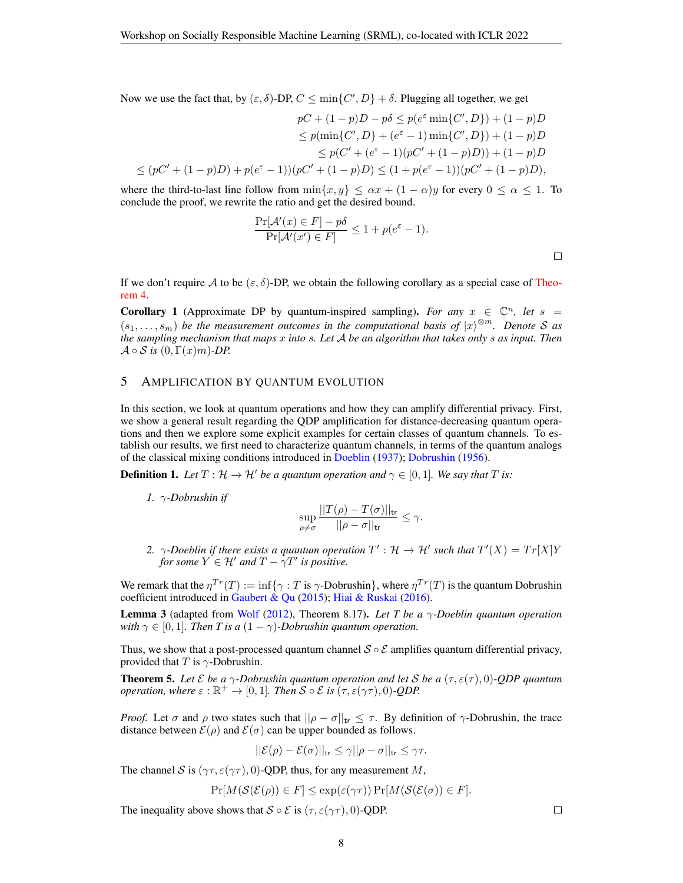Now we use the fact that, by  $(\varepsilon, \delta)$ -DP,  $C \le \min\{C', D\} + \delta$ . Plugging all together, we get

$$
pC + (1 - p)D - p\delta \le p(e^{\varepsilon} \min\{C', D\}) + (1 - p)D
$$
  
\n
$$
\le p(\min\{C', D\} + (e^{\varepsilon} - 1) \min\{C', D\}) + (1 - p)D
$$
  
\n
$$
\le p(C' + (e^{\varepsilon} - 1)(pC' + (1 - p)D)) + (1 - p)D
$$
  
\n
$$
\le (pC' + (1 - p)D) + p(e^{\varepsilon} - 1))(pC' + (1 - p)D) \le (1 + p(e^{\varepsilon} - 1))(pC' + (1 - p)D),
$$

where the third-to-last line follow from  $\min\{x, y\} \leq \alpha x + (1 - \alpha)y$  for every  $0 \leq \alpha \leq 1$ . To conclude the proof, we rewrite the ratio and get the desired bound.

$$
\frac{\Pr[\mathcal{A}'(x) \in F] - p\delta}{\Pr[\mathcal{A}'(x') \in F]} \le 1 + p(e^{\varepsilon} - 1).
$$

If we don't require A to be  $(\varepsilon, \delta)$ -DP, we obtain the following corollary as a special case of [Theo](#page-6-1)[rem](#page-6-1) [4.](#page-6-1)

**Corollary 1** (Approximate DP by quantum-inspired sampling). *For any*  $x \in \mathbb{C}^n$ , *let*  $s =$  $(s_1, \ldots, s_m)$  be the measurement outcomes in the computational basis of  $\ket{x}^{\otimes m}$ . Denote S as *the sampling mechanism that maps* x *into* s*. Let* A *be an algorithm that takes only* s *as input. Then*  $\mathcal{A} \circ \mathcal{S}$  *is*  $(0, \Gamma(x)m)$ *-DP.* 

## <span id="page-7-0"></span>5 AMPLIFICATION BY QUANTUM EVOLUTION

In this section, we look at quantum operations and how they can amplify differential privacy. First, we show a general result regarding the QDP amplification for distance-decreasing quantum operations and then we explore some explicit examples for certain classes of quantum channels. To establish our results, we first need to characterize quantum channels, in terms of the quantum analogs of the classical mixing conditions introduced in [Doeblin](#page-11-9) [\(1937\)](#page-11-9); [Dobrushin](#page-11-10) [\(1956\)](#page-11-10).

**Definition 1.** Let  $T : \mathcal{H} \to \mathcal{H}'$  be a quantum operation and  $\gamma \in [0, 1]$ . We say that T is:

*1.* γ*-Dobrushin if*

$$
\sup_{\rho\neq\sigma}\frac{||T(\rho)-T(\sigma)||_{\mathsf{tr}}}{||\rho-\sigma||_{\mathsf{tr}}}\leq\gamma.
$$

2.  $\gamma$ -Doeblin if there exists a quantum operation  $T': \mathcal{H} \to \mathcal{H}'$  such that  $T'(X) = Tr[X]Y$ *for some*  $Y \in H'$  *and*  $T - \gamma T'$  *is positive.* 

We remark that the  $\eta^{Tr}(T) := \inf \{ \gamma : T \text{ is } \gamma\text{-Debrushin} \}$ , where  $\eta^{Tr}(T)$  is the quantum Dobrushin coefficient introduced in [Gaubert & Qu](#page-12-12) [\(2015\)](#page-12-12); [Hiai & Ruskai](#page-12-9) [\(2016\)](#page-12-9).

Lemma 3 (adapted from [Wolf](#page-14-2) [\(2012\)](#page-14-2), Theorem 8.17). *Let T be a* γ*-Doeblin quantum operation with*  $\gamma \in [0, 1]$ *. Then T is a*  $(1 - \gamma)$ *-Dobrushin quantum operation.* 

Thus, we show that a post-processed quantum channel  $S \circ \mathcal{E}$  amplifies quantum differential privacy, provided that T is  $\gamma$ -Dobrushin.

<span id="page-7-1"></span>**Theorem 5.** Let  $\mathcal E$  be a  $\gamma$ -Dobrushin quantum operation and let  $\mathcal S$  be a  $(\tau, \varepsilon(\tau), 0)$ -QDP quantum *operation, where*  $\varepsilon : \mathbb{R}^+ \to [0,1]$ *. Then*  $S \circ \mathcal{E}$  *is*  $(\tau, \varepsilon(\gamma \tau), 0)$ *-QDP.* 

*Proof.* Let  $\sigma$  and  $\rho$  two states such that  $||\rho - \sigma||_{tr} \leq \tau$ . By definition of  $\gamma$ -Dobrushin, the trace distance between  $\mathcal{E}(\rho)$  and  $\mathcal{E}(\sigma)$  can be upper bounded as follows.

$$
||\mathcal{E}(\rho) - \mathcal{E}(\sigma)||_{\mathsf{tr}} \leq \gamma ||\rho - \sigma||_{\mathsf{tr}} \leq \gamma\tau.
$$

The channel S is  $(\gamma \tau, \varepsilon(\gamma \tau), 0)$ -QDP, thus, for any measurement M,

$$
\Pr[M(\mathcal{S}(\mathcal{E}(\rho)) \in F] \le \exp(\varepsilon(\gamma \tau)) \Pr[M(\mathcal{S}(\mathcal{E}(\sigma)) \in F].
$$

The inequality above shows that  $S \circ \mathcal{E}$  is  $(\tau, \varepsilon(\gamma \tau), 0)$ -QDP.

 $\Box$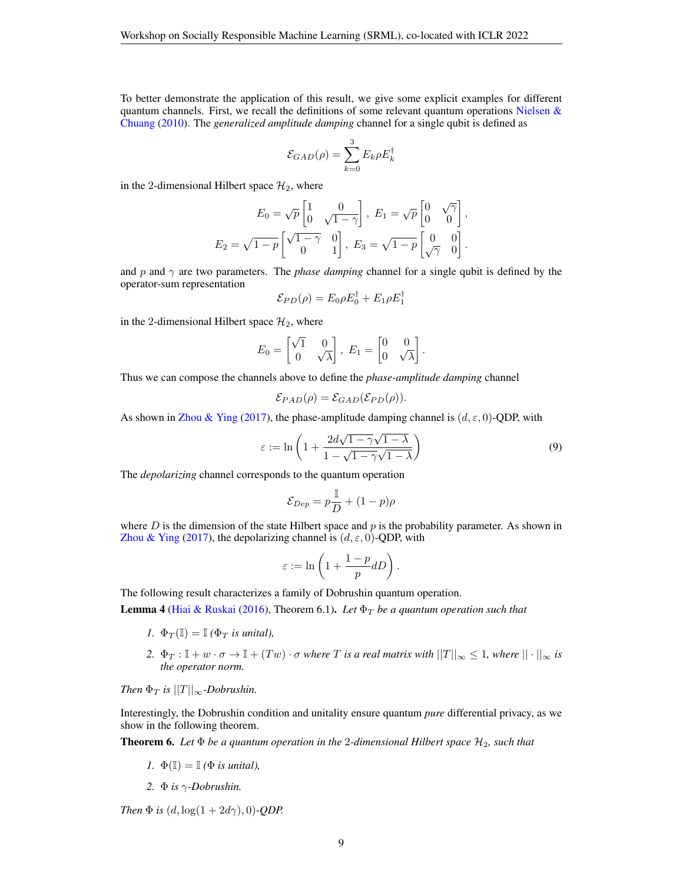To better demonstrate the application of this result, we give some explicit examples for different quantum channels. First, we recall the definitions of some relevant quantum operations Nielsen  $\&$ [Chuang](#page-13-10) [\(2010\)](#page-13-10). The *generalized amplitude damping* channel for a single qubit is defined as

$$
\mathcal{E}_{GAD}(\rho)=\sum_{k=0}^3 E_k \rho E_k^\dagger
$$

in the 2-dimensional Hilbert space  $\mathcal{H}_2$ , where

$$
E_0 = \sqrt{p} \begin{bmatrix} 1 & 0 \\ 0 & \sqrt{1-\gamma} \end{bmatrix}, E_1 = \sqrt{p} \begin{bmatrix} 0 & \sqrt{\gamma} \\ 0 & 0 \end{bmatrix},
$$
  

$$
E_2 = \sqrt{1-p} \begin{bmatrix} \sqrt{1-\gamma} & 0 \\ 0 & 1 \end{bmatrix}, E_3 = \sqrt{1-p} \begin{bmatrix} 0 & 0 \\ \sqrt{\gamma} & 0 \end{bmatrix}.
$$

and  $p$  and  $\gamma$  are two parameters. The *phase damping* channel for a single qubit is defined by the operator-sum representation

$$
\mathcal{E}_{PD}(\rho) = E_0 \rho E_0^{\dagger} + E_1 \rho E_1^{\dagger}
$$

in the 2-dimensional Hilbert space  $\mathcal{H}_2$ , where

$$
E_0 = \begin{bmatrix} \sqrt{1} & 0 \\ 0 & \sqrt{\lambda} \end{bmatrix}, E_1 = \begin{bmatrix} 0 & 0 \\ 0 & \sqrt{\lambda} \end{bmatrix}.
$$

Thus we can compose the channels above to define the *phase-amplitude damping* channel

$$
\mathcal{E}_{PAD}(\rho) = \mathcal{E}_{GAD}(\mathcal{E}_{PD}(\rho)).
$$

As shown in [Zhou & Ying](#page-14-1) [\(2017\)](#page-14-1), the phase-amplitude damping channel is  $(d, \varepsilon, 0)$ -QDP, with

<span id="page-8-1"></span>
$$
\varepsilon := \ln\left(1 + \frac{2d\sqrt{1 - \gamma}\sqrt{1 - \lambda}}{1 - \sqrt{1 - \gamma}\sqrt{1 - \lambda}}\right) \tag{9}
$$

The *depolarizing* channel corresponds to the quantum operation

$$
\mathcal{E}_{Dep} = p\frac{\mathbb{I}}{D} + (1-p)\rho
$$

where  $D$  is the dimension of the state Hilbert space and  $p$  is the probability parameter. As shown in [Zhou & Ying](#page-14-1) [\(2017\)](#page-14-1), the depolarizing channel is  $(d, \varepsilon, 0)$ -QDP, with

$$
\varepsilon := \ln\left(1 + \frac{1-p}{p}dD\right).
$$

The following result characterizes a family of Dobrushin quantum operation.

<span id="page-8-0"></span>**Lemma 4** [\(Hiai & Ruskai](#page-12-9) [\(2016\)](#page-12-9), Theorem 6.1). Let  $\Phi_T$  be a quantum operation such that

- *1.*  $\Phi_T(\mathbb{I}) = \mathbb{I}(\Phi_T$  *is unital*),
- 2.  $\Phi_T : \mathbb{I} + w \cdot \sigma \to \mathbb{I} + (Tw) \cdot \sigma$  *where T* is a real matrix with  $||T||_{\infty} \leq 1$ , *where*  $|| \cdot ||_{\infty}$  is *the operator norm.*

*Then*  $\Phi_T$  *is*  $||T||_{\infty}$ *-Dobrushin.* 

Interestingly, the Dobrushin condition and unitality ensure quantum *pure* differential privacy, as we show in the following theorem.

**Theorem 6.** Let  $\Phi$  be a quantum operation in the 2-dimensional Hilbert space  $\mathcal{H}_2$ , such that

- *1.*  $\Phi(\mathbb{I}) = \mathbb{I}$  *(* $\Phi$  *is unital),*
- *2.* Φ *is* γ*-Dobrushin.*

*Then*  $\Phi$  *is*  $(d, \log(1 + 2d\gamma), 0)$ *-QDP.*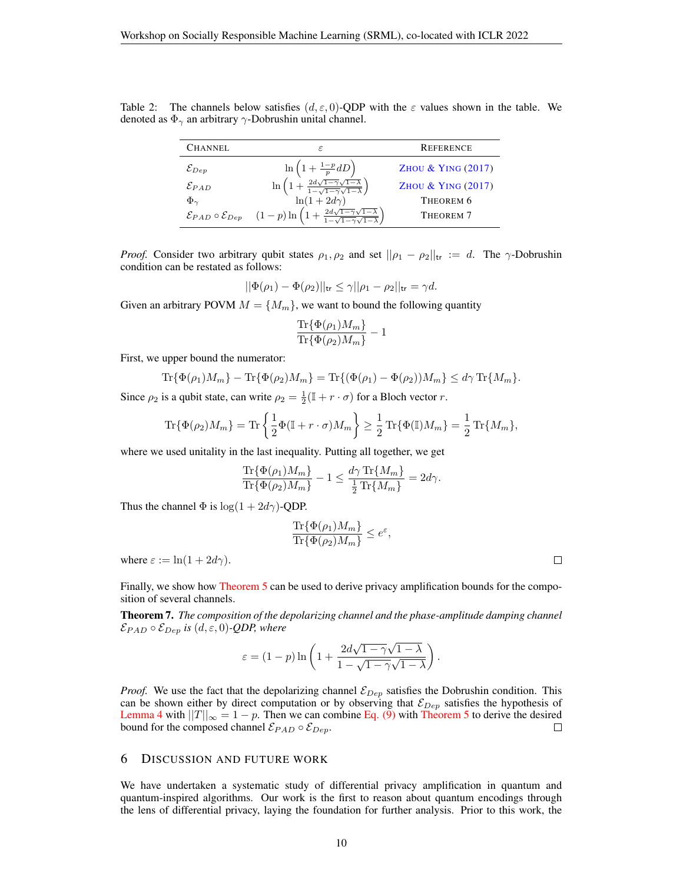Table 2: The channels below satisfies  $(d, \varepsilon, 0)$ -QDP with the  $\varepsilon$  values shown in the table. We denoted as  $\Phi_{\gamma}$  an arbitrary  $\gamma$ -Dobrushin unital channel.

| <b>CHANNEL</b>                          | ε                                                                                                    | <b>REFERENCE</b>              |
|-----------------------------------------|------------------------------------------------------------------------------------------------------|-------------------------------|
| $\mathcal{E}_{Dep}$                     | $\ln\left(1+\frac{1-p}{p}dD\right)$                                                                  | ZHOU & YING (2017)            |
| $\mathcal{E}_{PAD}$                     | $\ln\left(1+\frac{2d\sqrt{1-\gamma}\sqrt{1-\lambda}}{1-\sqrt{1-\gamma}\sqrt{1-\lambda}}\right)$      | <b>ZHOU &amp; YING (2017)</b> |
| $\Phi_{\gamma}$                         | $\ln(1+2d\gamma)$                                                                                    | THEOREM 6                     |
| $\mathcal E_{PAD}\circ\mathcal E_{Dep}$ | $(1-p)\ln\left(1+\frac{2d\sqrt{1-\gamma}\sqrt{1-\lambda}}{1-\sqrt{1-\gamma}\sqrt{1-\lambda}}\right)$ | THEOREM <sub>7</sub>          |

*Proof.* Consider two arbitrary qubit states  $\rho_1, \rho_2$  and set  $||\rho_1 - \rho_2||_{\text{tr}} := d$ . The  $\gamma$ -Dobrushin condition can be restated as follows:

$$
||\Phi(\rho_1) - \Phi(\rho_2)||_{\text{tr}} \le \gamma ||\rho_1 - \rho_2||_{\text{tr}} = \gamma d.
$$

Given an arbitrary POVM  $M = \{M_m\}$ , we want to bound the following quantity

$$
\frac{\text{Tr}\{\Phi(\rho_1)M_m\}}{\text{Tr}\{\Phi(\rho_2)M_m\}}-1
$$

First, we upper bound the numerator:

$$
\operatorname{Tr}\{\Phi(\rho_1)M_m\} - \operatorname{Tr}\{\Phi(\rho_2)M_m\} = \operatorname{Tr}\{(\Phi(\rho_1) - \Phi(\rho_2))M_m\} \le d\gamma \operatorname{Tr}\{M_m\}.
$$

Since  $\rho_2$  is a qubit state, can write  $\rho_2 = \frac{1}{2}(\mathbb{I} + r \cdot \sigma)$  for a Bloch vector r.

$$
\operatorname{Tr}\{\Phi(\rho_2)M_m\} = \operatorname{Tr}\left\{\frac{1}{2}\Phi(\mathbb{I}+r\cdot\sigma)M_m\right\} \ge \frac{1}{2}\operatorname{Tr}\{\Phi(\mathbb{I})M_m\} = \frac{1}{2}\operatorname{Tr}\{M_m\},
$$

where we used unitality in the last inequality. Putting all together, we get

$$
\frac{\text{Tr}\{\Phi(\rho_1)M_m\}}{\text{Tr}\{\Phi(\rho_2)M_m\}} - 1 \le \frac{d\gamma \text{ Tr}\{M_m\}}{\frac{1}{2}\text{Tr}\{M_m\}} = 2d\gamma.
$$

Thus the channel  $\Phi$  is log(1 + 2d $\gamma$ )-QDP.

$$
\frac{\text{Tr}\{\Phi(\rho_1)M_m\}}{\text{Tr}\{\Phi(\rho_2)M_m\}} \le e^{\varepsilon},
$$

where  $\varepsilon := \ln(1 + 2d\gamma)$ .

Finally, we show how [Theorem](#page-7-1) [5](#page-7-1) can be used to derive privacy amplification bounds for the composition of several channels.

Theorem 7. *The composition of the depolarizing channel and the phase-amplitude damping channel*  $\mathcal{E}_{PAD} \circ \mathcal{E}_{Dep}$  *is*  $(d, \varepsilon, 0)$ -*QDP*, where

$$
\varepsilon = (1-p)\ln\left(1 + \frac{2d\sqrt{1-\gamma}\sqrt{1-\lambda}}{1-\sqrt{1-\gamma}\sqrt{1-\lambda}}\right).
$$

*Proof.* We use the fact that the depolarizing channel  $\mathcal{E}_{Dep}$  satisfies the Dobrushin condition. This can be shown either by direct computation or by observing that  $\mathcal{E}_{Dep}$  satisfies the hypothesis of [Lemma](#page-8-0) [4](#page-8-0) with  $||T||_{\infty} = 1 - p$ . Then we can combine [Eq. \(9\)](#page-8-1) with [Theorem](#page-7-1) [5](#page-7-1) to derive the desired bound for the composed channel  $\mathcal{E}_{PAD} \circ \mathcal{E}_{Dep}$ .  $\Box$ 

## 6 DISCUSSION AND FUTURE WORK

We have undertaken a systematic study of differential privacy amplification in quantum and quantum-inspired algorithms. Our work is the first to reason about quantum encodings through the lens of differential privacy, laying the foundation for further analysis. Prior to this work, the

 $\Box$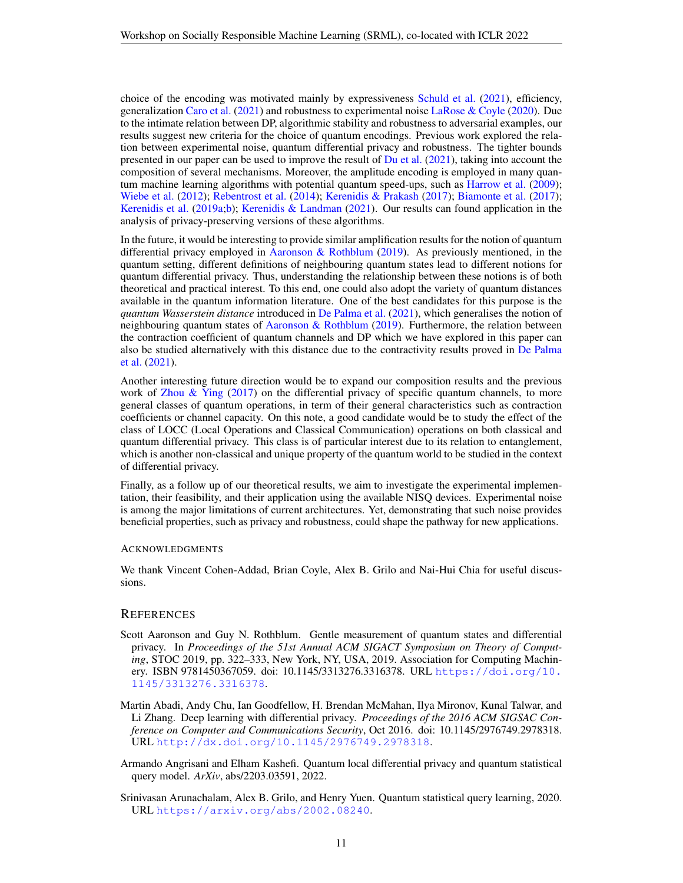choice of the encoding was motivated mainly by expressiveness [Schuld et al.](#page-13-11) [\(2021\)](#page-13-11), efficiency, generalization [Caro et al.](#page-11-11) [\(2021\)](#page-11-11) and robustness to experimental noise [LaRose & Coyle](#page-13-4) [\(2020\)](#page-13-4). Due to the intimate relation between DP, algorithmic stability and robustness to adversarial examples, our results suggest new criteria for the choice of quantum encodings. Previous work explored the relation between experimental noise, quantum differential privacy and robustness. The tighter bounds presented in our paper can be used to improve the result of  $Du$  et al. [\(2021\)](#page-12-8), taking into account the composition of several mechanisms. Moreover, the amplitude encoding is employed in many quantum machine learning algorithms with potential quantum speed-ups, such as [Harrow et al.](#page-12-13) [\(2009\)](#page-12-13); [Wiebe et al.](#page-14-3) [\(2012\)](#page-14-3); [Rebentrost et al.](#page-13-12) [\(2014\)](#page-13-12); [Kerenidis & Prakash](#page-13-13) [\(2017\)](#page-13-13); [Biamonte et al.](#page-11-12) [\(2017\)](#page-11-12); [Kerenidis et al.](#page-13-14) [\(2019a;](#page-13-14)[b\)](#page-13-15); [Kerenidis & Landman](#page-12-14) [\(2021\)](#page-12-14). Our results can found application in the analysis of privacy-preserving versions of these algorithms.

In the future, it would be interesting to provide similar amplification results for the notion of quantum differential privacy employed in [Aaronson & Rothblum](#page-10-1) [\(2019\)](#page-10-1). As previously mentioned, in the quantum setting, different definitions of neighbouring quantum states lead to different notions for quantum differential privacy. Thus, understanding the relationship between these notions is of both theoretical and practical interest. To this end, one could also adopt the variety of quantum distances available in the quantum information literature. One of the best candidates for this purpose is the *quantum Wasserstein distance* introduced in [De Palma et al.](#page-11-13) [\(2021\)](#page-11-13), which generalises the notion of neighbouring quantum states of [Aaronson & Rothblum](#page-10-1) [\(2019\)](#page-10-1). Furthermore, the relation between the contraction coefficient of quantum channels and DP which we have explored in this paper can also be studied alternatively with this distance due to the contractivity results proved in [De Palma](#page-11-13) [et al.](#page-11-13) [\(2021\)](#page-11-13).

Another interesting future direction would be to expand our composition results and the previous work of [Zhou & Ying](#page-14-1) [\(2017\)](#page-14-1) on the differential privacy of specific quantum channels, to more general classes of quantum operations, in term of their general characteristics such as contraction coefficients or channel capacity. On this note, a good candidate would be to study the effect of the class of LOCC (Local Operations and Classical Communication) operations on both classical and quantum differential privacy. This class is of particular interest due to its relation to entanglement, which is another non-classical and unique property of the quantum world to be studied in the context of differential privacy.

Finally, as a follow up of our theoretical results, we aim to investigate the experimental implementation, their feasibility, and their application using the available NISQ devices. Experimental noise is among the major limitations of current architectures. Yet, demonstrating that such noise provides beneficial properties, such as privacy and robustness, could shape the pathway for new applications.

#### ACKNOWLEDGMENTS

We thank Vincent Cohen-Addad, Brian Coyle, Alex B. Grilo and Nai-Hui Chia for useful discussions.

#### **REFERENCES**

- <span id="page-10-1"></span>Scott Aaronson and Guy N. Rothblum. Gentle measurement of quantum states and differential privacy. In *Proceedings of the 51st Annual ACM SIGACT Symposium on Theory of Computing*, STOC 2019, pp. 322–333, New York, NY, USA, 2019. Association for Computing Machinery. ISBN 9781450367059. doi: 10.1145/3313276.3316378. URL [https://doi.org/10.](https://doi.org/10.1145/3313276.3316378) [1145/3313276.3316378](https://doi.org/10.1145/3313276.3316378).
- <span id="page-10-0"></span>Martin Abadi, Andy Chu, Ian Goodfellow, H. Brendan McMahan, Ilya Mironov, Kunal Talwar, and Li Zhang. Deep learning with differential privacy. *Proceedings of the 2016 ACM SIGSAC Conference on Computer and Communications Security*, Oct 2016. doi: 10.1145/2976749.2978318. URL <http://dx.doi.org/10.1145/2976749.2978318>.
- <span id="page-10-3"></span>Armando Angrisani and Elham Kashefi. Quantum local differential privacy and quantum statistical query model. *ArXiv*, abs/2203.03591, 2022.
- <span id="page-10-2"></span>Srinivasan Arunachalam, Alex B. Grilo, and Henry Yuen. Quantum statistical query learning, 2020. URL <https://arxiv.org/abs/2002.08240>.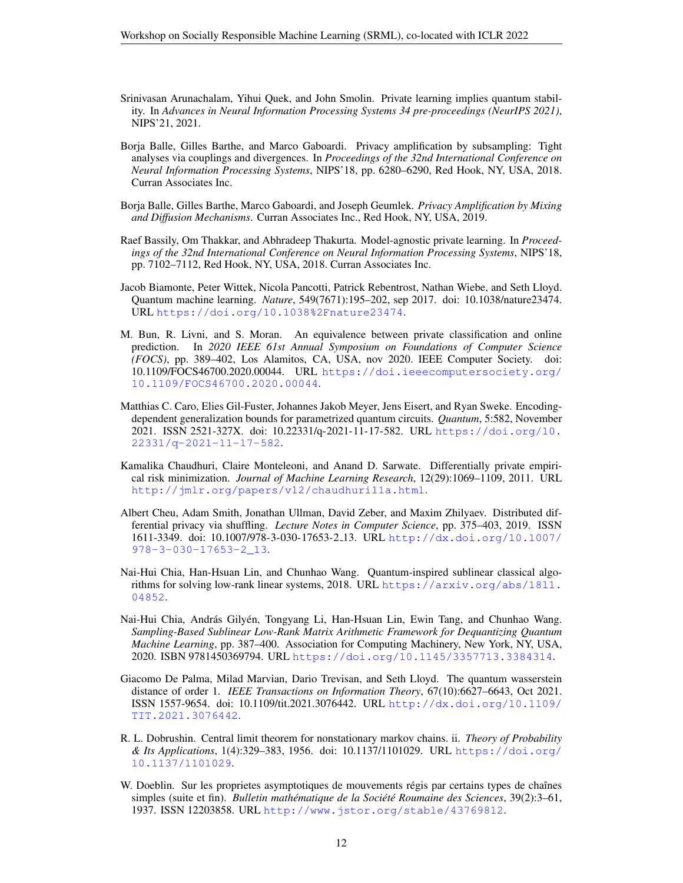- <span id="page-11-3"></span>Srinivasan Arunachalam, Yihui Quek, and John Smolin. Private learning implies quantum stability. In *Advances in Neural Information Processing Systems 34 pre-proceedings (NeurIPS 2021)*, NIPS'21, 2021.
- <span id="page-11-4"></span>Borja Balle, Gilles Barthe, and Marco Gaboardi. Privacy amplification by subsampling: Tight analyses via couplings and divergences. In *Proceedings of the 32nd International Conference on Neural Information Processing Systems*, NIPS'18, pp. 6280–6290, Red Hook, NY, USA, 2018. Curran Associates Inc.
- <span id="page-11-5"></span>Borja Balle, Gilles Barthe, Marco Gaboardi, and Joseph Geumlek. *Privacy Amplification by Mixing and Diffusion Mechanisms*. Curran Associates Inc., Red Hook, NY, USA, 2019.
- <span id="page-11-1"></span>Raef Bassily, Om Thakkar, and Abhradeep Thakurta. Model-agnostic private learning. In *Proceedings of the 32nd International Conference on Neural Information Processing Systems*, NIPS'18, pp. 7102–7112, Red Hook, NY, USA, 2018. Curran Associates Inc.
- <span id="page-11-12"></span>Jacob Biamonte, Peter Wittek, Nicola Pancotti, Patrick Rebentrost, Nathan Wiebe, and Seth Lloyd. Quantum machine learning. *Nature*, 549(7671):195–202, sep 2017. doi: 10.1038/nature23474. URL <https://doi.org/10.1038%2Fnature23474>.
- <span id="page-11-2"></span>M. Bun, R. Livni, and S. Moran. An equivalence between private classification and online prediction. In *2020 IEEE 61st Annual Symposium on Foundations of Computer Science (FOCS)*, pp. 389–402, Los Alamitos, CA, USA, nov 2020. IEEE Computer Society. doi: 10.1109/FOCS46700.2020.00044. URL [https://doi.ieeecomputersociety.org/](https://doi.ieeecomputersociety.org/10.1109/FOCS46700.2020.00044) [10.1109/FOCS46700.2020.00044](https://doi.ieeecomputersociety.org/10.1109/FOCS46700.2020.00044).
- <span id="page-11-11"></span>Matthias C. Caro, Elies Gil-Fuster, Johannes Jakob Meyer, Jens Eisert, and Ryan Sweke. Encodingdependent generalization bounds for parametrized quantum circuits. *Quantum*, 5:582, November 2021. ISSN 2521-327X. doi: 10.22331/q-2021-11-17-582. URL [https://doi.org/10.](https://doi.org/10.22331/q-2021-11-17-582) [22331/q-2021-11-17-582](https://doi.org/10.22331/q-2021-11-17-582).
- <span id="page-11-0"></span>Kamalika Chaudhuri, Claire Monteleoni, and Anand D. Sarwate. Differentially private empirical risk minimization. *Journal of Machine Learning Research*, 12(29):1069–1109, 2011. URL <http://jmlr.org/papers/v12/chaudhuri11a.html>.
- <span id="page-11-6"></span>Albert Cheu, Adam Smith, Jonathan Ullman, David Zeber, and Maxim Zhilyaev. Distributed differential privacy via shuffling. *Lecture Notes in Computer Science*, pp. 375–403, 2019. ISSN 1611-3349. doi: 10.1007/978-3-030-17653-2 13. URL [http://dx.doi.org/10.1007/](http://dx.doi.org/10.1007/978-3-030-17653-2_13) [978-3-030-17653-2\\_13](http://dx.doi.org/10.1007/978-3-030-17653-2_13).
- <span id="page-11-7"></span>Nai-Hui Chia, Han-Hsuan Lin, and Chunhao Wang. Quantum-inspired sublinear classical algorithms for solving low-rank linear systems, 2018. URL [https://arxiv.org/abs/1811.](https://arxiv.org/abs/1811.04852) [04852](https://arxiv.org/abs/1811.04852).
- <span id="page-11-8"></span>Nai-Hui Chia, András Gilyén, Tongyang Li, Han-Hsuan Lin, Ewin Tang, and Chunhao Wang. *Sampling-Based Sublinear Low-Rank Matrix Arithmetic Framework for Dequantizing Quantum Machine Learning*, pp. 387–400. Association for Computing Machinery, New York, NY, USA, 2020. ISBN 9781450369794. URL <https://doi.org/10.1145/3357713.3384314>.
- <span id="page-11-13"></span>Giacomo De Palma, Milad Marvian, Dario Trevisan, and Seth Lloyd. The quantum wasserstein distance of order 1. *IEEE Transactions on Information Theory*, 67(10):6627–6643, Oct 2021. ISSN 1557-9654. doi: 10.1109/tit.2021.3076442. URL [http://dx.doi.org/10.1109/](http://dx.doi.org/10.1109/TIT.2021.3076442) [TIT.2021.3076442](http://dx.doi.org/10.1109/TIT.2021.3076442).
- <span id="page-11-10"></span>R. L. Dobrushin. Central limit theorem for nonstationary markov chains. ii. *Theory of Probability & Its Applications*, 1(4):329–383, 1956. doi: 10.1137/1101029. URL [https://doi.org/](https://doi.org/10.1137/1101029) [10.1137/1101029](https://doi.org/10.1137/1101029).
- <span id="page-11-9"></span>W. Doeblin. Sur les proprietes asymptotiques de mouvements régis par certains types de chaînes simples (suite et fin). *Bulletin mathématique de la Société Roumaine des Sciences*, 39(2):3–61, 1937. ISSN 12203858. URL <http://www.jstor.org/stable/43769812>.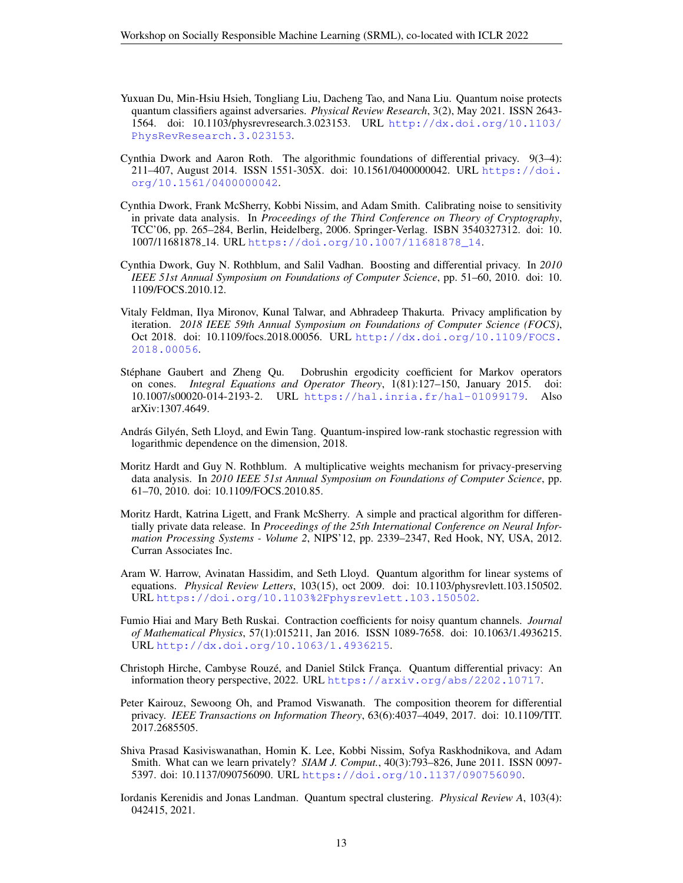- <span id="page-12-8"></span>Yuxuan Du, Min-Hsiu Hsieh, Tongliang Liu, Dacheng Tao, and Nana Liu. Quantum noise protects quantum classifiers against adversaries. *Physical Review Research*, 3(2), May 2021. ISSN 2643- 1564. doi: 10.1103/physrevresearch.3.023153. URL [http://dx.doi.org/10.1103/](http://dx.doi.org/10.1103/PhysRevResearch.3.023153) [PhysRevResearch.3.023153](http://dx.doi.org/10.1103/PhysRevResearch.3.023153).
- <span id="page-12-1"></span>Cynthia Dwork and Aaron Roth. The algorithmic foundations of differential privacy. 9(3–4): 211–407, August 2014. ISSN 1551-305X. doi: 10.1561/0400000042. URL [https://doi.](https://doi.org/10.1561/0400000042) [org/10.1561/0400000042](https://doi.org/10.1561/0400000042).
- <span id="page-12-0"></span>Cynthia Dwork, Frank McSherry, Kobbi Nissim, and Adam Smith. Calibrating noise to sensitivity in private data analysis. In *Proceedings of the Third Conference on Theory of Cryptography*, TCC'06, pp. 265–284, Berlin, Heidelberg, 2006. Springer-Verlag. ISBN 3540327312. doi: 10. 1007/11681878 14. URL [https://doi.org/10.1007/11681878\\_14](https://doi.org/10.1007/11681878_14).
- <span id="page-12-3"></span>Cynthia Dwork, Guy N. Rothblum, and Salil Vadhan. Boosting and differential privacy. In *2010 IEEE 51st Annual Symposium on Foundations of Computer Science*, pp. 51–60, 2010. doi: 10. 1109/FOCS.2010.12.
- <span id="page-12-7"></span>Vitaly Feldman, Ilya Mironov, Kunal Talwar, and Abhradeep Thakurta. Privacy amplification by iteration. *2018 IEEE 59th Annual Symposium on Foundations of Computer Science (FOCS)*, Oct 2018. doi: 10.1109/focs.2018.00056. URL [http://dx.doi.org/10.1109/FOCS.](http://dx.doi.org/10.1109/FOCS.2018.00056) [2018.00056](http://dx.doi.org/10.1109/FOCS.2018.00056).
- <span id="page-12-12"></span>Stéphane Gaubert and Zheng Qu. Dobrushin ergodicity coefficient for Markov operators on cones. *Integral Equations and Operator Theory*, 1(81):127–150, January 2015. doi: 10.1007/s00020-014-2193-2. URL <https://hal.inria.fr/hal-01099179>. Also arXiv:1307.4649.
- <span id="page-12-11"></span>András Gilyén, Seth Lloyd, and Ewin Tang. Quantum-inspired low-rank stochastic regression with logarithmic dependence on the dimension, 2018.
- <span id="page-12-5"></span>Moritz Hardt and Guy N. Rothblum. A multiplicative weights mechanism for privacy-preserving data analysis. In *2010 IEEE 51st Annual Symposium on Foundations of Computer Science*, pp. 61–70, 2010. doi: 10.1109/FOCS.2010.85.
- <span id="page-12-6"></span>Moritz Hardt, Katrina Ligett, and Frank McSherry. A simple and practical algorithm for differentially private data release. In *Proceedings of the 25th International Conference on Neural Information Processing Systems - Volume 2*, NIPS'12, pp. 2339–2347, Red Hook, NY, USA, 2012. Curran Associates Inc.
- <span id="page-12-13"></span>Aram W. Harrow, Avinatan Hassidim, and Seth Lloyd. Quantum algorithm for linear systems of equations. *Physical Review Letters*, 103(15), oct 2009. doi: 10.1103/physrevlett.103.150502. URL <https://doi.org/10.1103%2Fphysrevlett.103.150502>.
- <span id="page-12-9"></span>Fumio Hiai and Mary Beth Ruskai. Contraction coefficients for noisy quantum channels. *Journal of Mathematical Physics*, 57(1):015211, Jan 2016. ISSN 1089-7658. doi: 10.1063/1.4936215. URL <http://dx.doi.org/10.1063/1.4936215>.
- <span id="page-12-10"></span>Christoph Hirche, Cambyse Rouzé, and Daniel Stilck França. Quantum differential privacy: An information theory perspective, 2022. URL <https://arxiv.org/abs/2202.10717>.
- <span id="page-12-4"></span>Peter Kairouz, Sewoong Oh, and Pramod Viswanath. The composition theorem for differential privacy. *IEEE Transactions on Information Theory*, 63(6):4037–4049, 2017. doi: 10.1109/TIT. 2017.2685505.
- <span id="page-12-2"></span>Shiva Prasad Kasiviswanathan, Homin K. Lee, Kobbi Nissim, Sofya Raskhodnikova, and Adam Smith. What can we learn privately? *SIAM J. Comput.*, 40(3):793–826, June 2011. ISSN 0097- 5397. doi: 10.1137/090756090. URL <https://doi.org/10.1137/090756090>.
- <span id="page-12-14"></span>Iordanis Kerenidis and Jonas Landman. Quantum spectral clustering. *Physical Review A*, 103(4): 042415, 2021.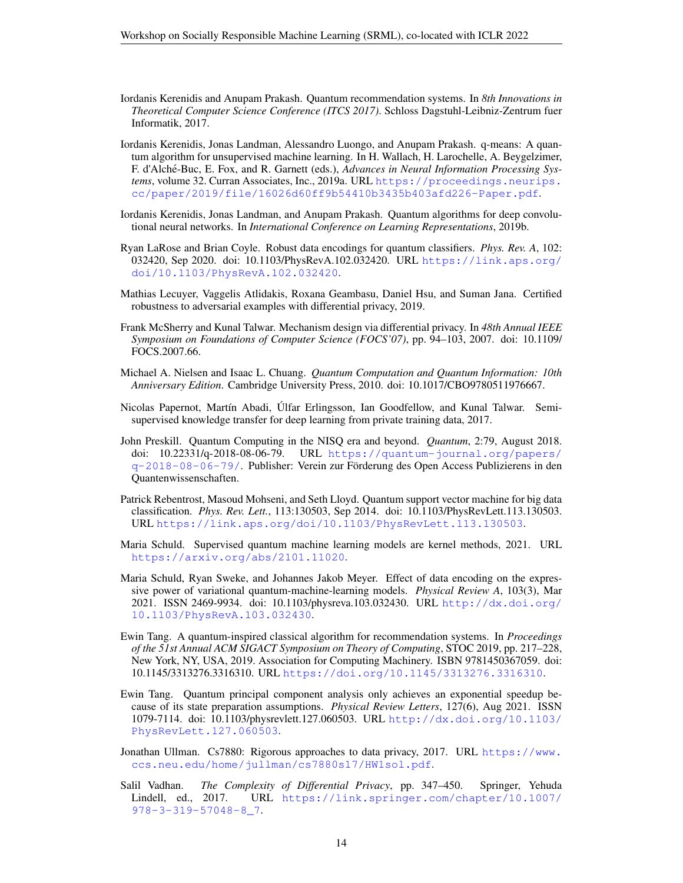- <span id="page-13-13"></span>Iordanis Kerenidis and Anupam Prakash. Quantum recommendation systems. In *8th Innovations in Theoretical Computer Science Conference (ITCS 2017)*. Schloss Dagstuhl-Leibniz-Zentrum fuer Informatik, 2017.
- <span id="page-13-14"></span>Iordanis Kerenidis, Jonas Landman, Alessandro Luongo, and Anupam Prakash. q-means: A quantum algorithm for unsupervised machine learning. In H. Wallach, H. Larochelle, A. Beygelzimer, F. d'Alché-Buc, E. Fox, and R. Garnett (eds.), *Advances in Neural Information Processing Systems*, volume 32. Curran Associates, Inc., 2019a. URL [https://proceedings.neurips.](https://proceedings.neurips.cc/paper/2019/file/16026d60ff9b54410b3435b403afd226-Paper.pdf) [cc/paper/2019/file/16026d60ff9b54410b3435b403afd226-Paper.pdf](https://proceedings.neurips.cc/paper/2019/file/16026d60ff9b54410b3435b403afd226-Paper.pdf).
- <span id="page-13-15"></span>Iordanis Kerenidis, Jonas Landman, and Anupam Prakash. Quantum algorithms for deep convolutional neural networks. In *International Conference on Learning Representations*, 2019b.
- <span id="page-13-4"></span>Ryan LaRose and Brian Coyle. Robust data encodings for quantum classifiers. *Phys. Rev. A*, 102: 032420, Sep 2020. doi: 10.1103/PhysRevA.102.032420. URL [https://link.aps.org/](https://link.aps.org/doi/10.1103/PhysRevA.102.032420) [doi/10.1103/PhysRevA.102.032420](https://link.aps.org/doi/10.1103/PhysRevA.102.032420).
- <span id="page-13-3"></span>Mathias Lecuyer, Vaggelis Atlidakis, Roxana Geambasu, Daniel Hsu, and Suman Jana. Certified robustness to adversarial examples with differential privacy, 2019.
- <span id="page-13-1"></span>Frank McSherry and Kunal Talwar. Mechanism design via differential privacy. In *48th Annual IEEE Symposium on Foundations of Computer Science (FOCS'07)*, pp. 94–103, 2007. doi: 10.1109/ FOCS.2007.66.
- <span id="page-13-10"></span>Michael A. Nielsen and Isaac L. Chuang. *Quantum Computation and Quantum Information: 10th Anniversary Edition*. Cambridge University Press, 2010. doi: 10.1017/CBO9780511976667.
- <span id="page-13-0"></span>Nicolas Papernot, Mart´ın Abadi, Ulfar Erlingsson, Ian Goodfellow, and Kunal Talwar. Semi- ´ supervised knowledge transfer for deep learning from private training data, 2017.
- <span id="page-13-2"></span>John Preskill. Quantum Computing in the NISQ era and beyond. *Quantum*, 2:79, August 2018. doi: 10.22331/q-2018-08-06-79. URL [https://quantum-journal.org/papers/](https://quantum-journal.org/papers/q-2018-08-06-79/) [q-2018-08-06-79/](https://quantum-journal.org/papers/q-2018-08-06-79/). Publisher: Verein zur Forderung des Open Access Publizierens in den ¨ Quantenwissenschaften.
- <span id="page-13-12"></span>Patrick Rebentrost, Masoud Mohseni, and Seth Lloyd. Quantum support vector machine for big data classification. *Phys. Rev. Lett.*, 113:130503, Sep 2014. doi: 10.1103/PhysRevLett.113.130503. URL <https://link.aps.org/doi/10.1103/PhysRevLett.113.130503>.
- <span id="page-13-5"></span>Maria Schuld. Supervised quantum machine learning models are kernel methods, 2021. URL <https://arxiv.org/abs/2101.11020>.
- <span id="page-13-11"></span>Maria Schuld, Ryan Sweke, and Johannes Jakob Meyer. Effect of data encoding on the expressive power of variational quantum-machine-learning models. *Physical Review A*, 103(3), Mar 2021. ISSN 2469-9934. doi: 10.1103/physreva.103.032430. URL [http://dx.doi.org/](http://dx.doi.org/10.1103/PhysRevA.103.032430) [10.1103/PhysRevA.103.032430](http://dx.doi.org/10.1103/PhysRevA.103.032430).
- <span id="page-13-7"></span>Ewin Tang. A quantum-inspired classical algorithm for recommendation systems. In *Proceedings of the 51st Annual ACM SIGACT Symposium on Theory of Computing*, STOC 2019, pp. 217–228, New York, NY, USA, 2019. Association for Computing Machinery. ISBN 9781450367059. doi: 10.1145/3313276.3316310. URL <https://doi.org/10.1145/3313276.3316310>.
- <span id="page-13-8"></span>Ewin Tang. Quantum principal component analysis only achieves an exponential speedup because of its state preparation assumptions. *Physical Review Letters*, 127(6), Aug 2021. ISSN 1079-7114. doi: 10.1103/physrevlett.127.060503. URL [http://dx.doi.org/10.1103/](http://dx.doi.org/10.1103/PhysRevLett.127.060503) [PhysRevLett.127.060503](http://dx.doi.org/10.1103/PhysRevLett.127.060503).
- <span id="page-13-9"></span>Jonathan Ullman. Cs7880: Rigorous approaches to data privacy, 2017. URL [https://www.](https://www.ccs.neu.edu/home/jullman/cs7880s17/HW1sol.pdf) [ccs.neu.edu/home/jullman/cs7880s17/HW1sol.pdf](https://www.ccs.neu.edu/home/jullman/cs7880s17/HW1sol.pdf).
- <span id="page-13-6"></span>Salil Vadhan. *The Complexity of Differential Privacy*, pp. 347–450. Springer, Yehuda Lindell, ed., 2017. URL [https://link.springer.com/chapter/10.1007/](https://link.springer.com/chapter/10.1007/978-3-319-57048-8_7) [978-3-319-57048-8\\_7](https://link.springer.com/chapter/10.1007/978-3-319-57048-8_7).